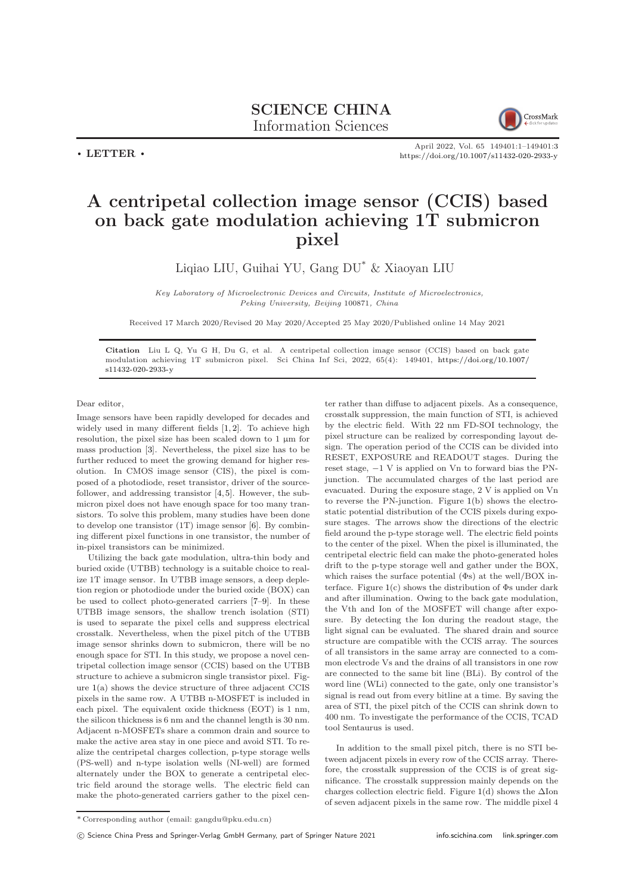$\cdot$  LETTER  $\cdot$ 



April 2022, Vol. 65 149401:1–149401[:3](#page-2-0) <https://doi.org/10.1007/s11432-020-2933-y>

## A centripetal collection image sensor (CCIS) based on back gate modulation achieving 1T submicron pixel

Liqiao LIU, Guihai YU, Gang DU\* & Xiaoyan LIU

Key Laboratory of Microelectronic Devices and Circuits, Institute of Microelectronics, Peking University, Beijing 100871, China

Received 17 March 2020/Revised 20 May 2020/Accepted 25 May 2020/Published online 14 May 2021

Citation Liu L Q, Yu G H, Du G, et al. A centripetal collection image sensor (CCIS) based on back gate modulation achieving 1T submicron pixel. Sci China Inf Sci, 2022, 65(4): 149401, [https://doi.org/10.1007/](https://doi.org/10.1007/s11432-020-2933-y) [s11432-020-2933-y](https://doi.org/10.1007/s11432-020-2933-y)

Dear editor,

Image sensors have been rapidly developed for decades and widely used in many different fields [\[1,](#page-2-1) [2\]](#page-2-2). To achieve high resolution, the pixel size has been scaled down to 1 µm for mass production [\[3\]](#page-2-3). Nevertheless, the pixel size has to be further reduced to meet the growing demand for higher resolution. In CMOS image sensor (CIS), the pixel is composed of a photodiode, reset transistor, driver of the sourcefollower, and addressing transistor [\[4,](#page-2-4) [5\]](#page-2-5). However, the submicron pixel does not have enough space for too many transistors. To solve this problem, many studies have been done to develop one transistor (1T) image sensor [\[6\]](#page-2-6). By combining different pixel functions in one transistor, the number of in-pixel transistors can be minimized.

Utilizing the back gate modulation, ultra-thin body and buried oxide (UTBB) technology is a suitable choice to realize 1T image sensor. In UTBB image sensors, a deep depletion region or photodiode under the buried oxide (BOX) can be used to collect photo-generated carriers [\[7–](#page-2-7)[9\]](#page-2-8). In these UTBB image sensors, the shallow trench isolation (STI) is used to separate the pixel cells and suppress electrical crosstalk. Nevertheless, when the pixel pitch of the UTBB image sensor shrinks down to submicron, there will be no enough space for STI. In this study, we propose a novel centripetal collection image sensor (CCIS) based on the UTBB structure to achieve a submicron single transistor pixel. Figure [1\(](#page-1-0)a) shows the device structure of three adjacent CCIS pixels in the same row. A UTBB n-MOSFET is included in each pixel. The equivalent oxide thickness (EOT) is 1 nm, the silicon thickness is 6 nm and the channel length is 30 nm. Adjacent n-MOSFETs share a common drain and source to make the active area stay in one piece and avoid STI. To realize the centripetal charges collection, p-type storage wells (PS-well) and n-type isolation wells (NI-well) are formed alternately under the BOX to generate a centripetal electric field around the storage wells. The electric field can make the photo-generated carriers gather to the pixel center rather than diffuse to adjacent pixels. As a consequence, crosstalk suppression, the main function of STI, is achieved by the electric field. With 22 nm FD-SOI technology, the pixel structure can be realized by corresponding layout design. The operation period of the CCIS can be divided into RESET, EXPOSURE and READOUT stages. During the reset stage, −1 V is applied on Vn to forward bias the PNjunction. The accumulated charges of the last period are evacuated. During the exposure stage, 2 V is applied on Vn to reverse the PN-junction. Figure [1\(](#page-1-0)b) shows the electrostatic potential distribution of the CCIS pixels during exposure stages. The arrows show the directions of the electric field around the p-type storage well. The electric field points to the center of the pixel. When the pixel is illuminated, the centripetal electric field can make the photo-generated holes drift to the p-type storage well and gather under the BOX, which raises the surface potential (Φs) at the well/BOX interface. Figure  $1(c)$  $1(c)$  shows the distribution of  $\Phi$ s under dark and after illumination. Owing to the back gate modulation, the Vth and Ion of the MOSFET will change after exposure. By detecting the Ion during the readout stage, the light signal can be evaluated. The shared drain and source structure are compatible with the CCIS array. The sources of all transistors in the same array are connected to a common electrode Vs and the drains of all transistors in one row are connected to the same bit line (BLi). By control of the word line (WLi) connected to the gate, only one transistor's signal is read out from every bitline at a time. By saving the area of STI, the pixel pitch of the CCIS can shrink down to 400 nm. To investigate the performance of the CCIS, TCAD tool Sentaurus is used.

In addition to the small pixel pitch, there is no STI between adjacent pixels in every row of the CCIS array. Therefore, the crosstalk suppression of the CCIS is of great significance. The crosstalk suppression mainly depends on the charges collection electric field. Figure [1\(](#page-1-0)d) shows the  $\Delta$ Ion of seven adjacent pixels in the same row. The middle pixel 4

(C) Science China Press and Springer-Verlag GmbH Germany, part of Springer Nature 2021 <info.scichina.com><link.springer.com>

<sup>\*</sup> Corresponding author (email: gangdu@pku.edu.cn)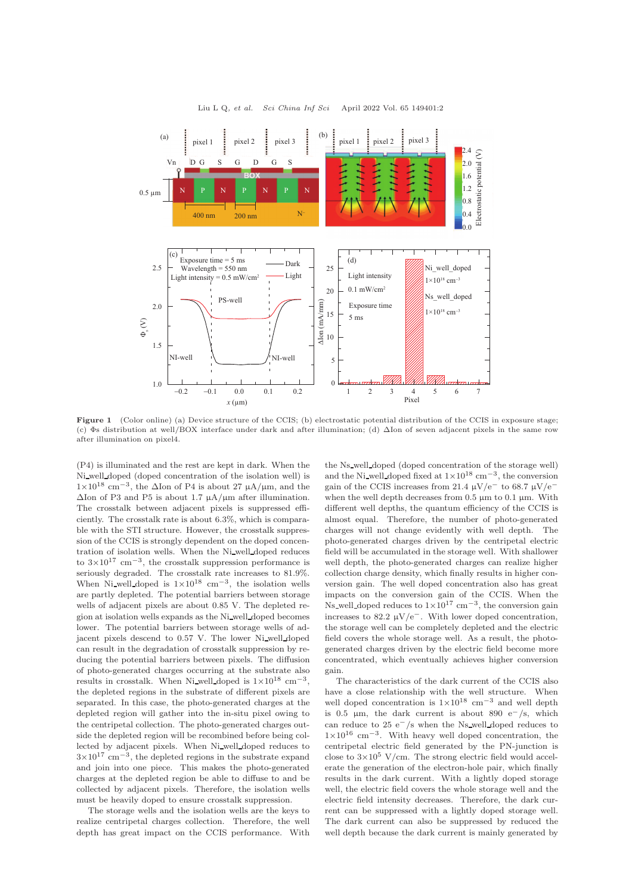<span id="page-1-0"></span>

Figure 1 (Color online) (a) Device structure of the CCIS; (b) electrostatic potential distribution of the CCIS in exposure stage; (c) Φs distribution at well/BOX interface under dark and after illumination; (d) ∆Ion of seven adjacent pixels in the same row after illumination on pixel4.

(P4) is illuminated and the rest are kept in dark. When the Ni well doped (doped concentration of the isolation well) is 1×10<sup>18</sup> cm−<sup>3</sup> , the ∆Ion of P4 is about 27 µA/µm, and the  $\Delta$ Ion of P3 and P5 is about 1.7  $\mu$ A/ $\mu$ m after illumination. The crosstalk between adjacent pixels is suppressed efficiently. The crosstalk rate is about 6.3%, which is comparable with the STI structure. However, the crosstalk suppression of the CCIS is strongly dependent on the doped concentration of isolation wells. When the Ni well doped reduces to  $3\times10^{17}$  cm<sup>-3</sup>, the crosstalk suppression performance is seriously degraded. The crosstalk rate increases to 81.9%. When Ni well doped is  $1 \times 10^{18}$  cm<sup>-3</sup>, the isolation wells are partly depleted. The potential barriers between storage wells of adjacent pixels are about 0.85 V. The depleted region at isolation wells expands as the Ni well doped becomes lower. The potential barriers between storage wells of adjacent pixels descend to 0.57 V. The lower Ni well doped can result in the degradation of crosstalk suppression by reducing the potential barriers between pixels. The diffusion of photo-generated charges occurring at the substrate also results in crosstalk. When Ni\_well\_doped is  $1 \times 10^{18}$  cm<sup>-3</sup>, the depleted regions in the substrate of different pixels are separated. In this case, the photo-generated charges at the depleted region will gather into the in-situ pixel owing to the centripetal collection. The photo-generated charges outside the depleted region will be recombined before being collected by adjacent pixels. When Ni well doped reduces to  $3\times10^{17}$  cm<sup>-3</sup>, the depleted regions in the substrate expand and join into one piece. This makes the photo-generated charges at the depleted region be able to diffuse to and be collected by adjacent pixels. Therefore, the isolation wells must be heavily doped to ensure crosstalk suppression.

The storage wells and the isolation wells are the keys to realize centripetal charges collection. Therefore, the well depth has great impact on the CCIS performance. With

the Ns well doped (doped concentration of the storage well) and the Ni\_well\_doped fixed at  $1 \times 10^{18}$  cm<sup>-3</sup>, the conversion gain of the CCIS increases from 21.4  $\mu$ V/e<sup>-</sup> to 68.7  $\mu$ V/e<sup>-</sup> when the well depth decreases from  $0.5 \mu m$  to  $0.1 \mu m$ . With different well depths, the quantum efficiency of the CCIS is almost equal. Therefore, the number of photo-generated charges will not change evidently with well depth. The photo-generated charges driven by the centripetal electric field will be accumulated in the storage well. With shallower well depth, the photo-generated charges can realize higher collection charge density, which finally results in higher conversion gain. The well doped concentration also has great impacts on the conversion gain of the CCIS. When the Ns well doped reduces to  $1 \times 10^{17}$  cm<sup>-3</sup>, the conversion gain increases to 82.2  $\mu$ V/e<sup>−</sup>. With lower doped concentration, the storage well can be completely depleted and the electric field covers the whole storage well. As a result, the photogenerated charges driven by the electric field become more concentrated, which eventually achieves higher conversion gain.

The characteristics of the dark current of the CCIS also have a close relationship with the well structure. When well doped concentration is  $1\times10^{18}$  cm<sup>-3</sup> and well depth is 0.5 µm, the dark current is about 890 e<sup> $-$ </sup>/s, which can reduce to 25 e−/s when the Ns well doped reduces to 1×10<sup>16</sup> cm−<sup>3</sup> . With heavy well doped concentration, the centripetal electric field generated by the PN-junction is close to  $3\times10^5$  V/cm. The strong electric field would accelerate the generation of the electron-hole pair, which finally results in the dark current. With a lightly doped storage well, the electric field covers the whole storage well and the electric field intensity decreases. Therefore, the dark current can be suppressed with a lightly doped storage well. The dark current can also be suppressed by reduced the well depth because the dark current is mainly generated by